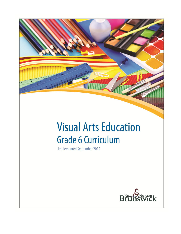# **Visual Arts Education Grade 6 Curriculum**

**Implemented September 2012** 

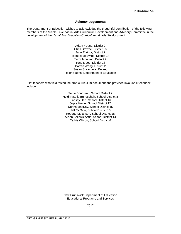#### **Acknowledgements**

The Department of Education wishes to acknowledge the thoughtful contribution of the following members of the Middle Level Visual Arts Curriculum Development and Advisory Committee in the development of the *Visual Arts Education Curriculum: Grade Six* document.

> Adam Young, District 2 Chris Browne, District 18 Jane Trainor, District 2 Michael McEwing, District 14 Terra Mouland, District 2 Tone Meeg, District 18 Darren Wong, District 2 Susan Srivastava, Retired Rolene Betts, Department of Education

Pilot teachers who field tested the draft curriculum document and provided invaluable feedback include:

> Tenie Boudreau, School District 2 Heidi Patullo Bundschuh, School District 8 Lindsay Hart, School District 16 Joyce Kuzyk, School District 17 Donna MacKay, School District 15 Jeff McGinn, School District 10 Roberte Melanson, School District 18 Alison Sollows-Astle, School District 14 Cathie Wilson, School District 6

New Brunswick Department of Education Educational Programs and Services

2012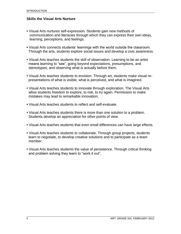## **Skills the Visual Arts Nurture**

- **•** Visual Arts nurtures self-expression. Students gain new methods of communication and literacies through which they can express their own ideas, learning, perceptions, and feelings.
- **•** Visual Arts connects students' learnings with the world outside the classroom. Through the arts, students explore social issues and develop a civic awareness.
- **•** Visual Arts teaches students the skill of observation. Learning to be an artist means learning to "see", going beyond expectations, presumptions, and stereotypes, and observing what is actually before them.
- **•** Visual Arts teaches students to envision. Through art, students make visual re presentations of what is visible, what is perceived, and what is imagined.
- **•** Visual Arts teaches students to innovate through exploration. The Visual Arts allow students freedom to explore, to risk, to try again. Permission to make mistakes may lead to remarkable innovation.
- **•** Visual Arts teaches students to reflect and self-evaluate.
- **•** Visual Arts teaches students there is more than one solution to a problem. Students develop an appreciation for other points of view.
- **•** Visual Arts teaches students that even small differences can have large effects.
- **•** Visual Arts teaches students to collaborate. Through group projects, students learn to negotiate, to develop creative solutions and to participate as a team member.
- **•** Visual Arts teaches students the value of persistence. Through critical thinking and problem solving they learn to "work it out".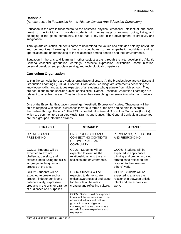## **Rationale**

(As expressed in *Foundation for the Atlantic Canada Arts Education Curriculum)*

Education in the arts is fundamental to the aesthetic, physical, emotional, intellectual, and social growth of the individual. It provides students with unique ways of knowing, doing, living, and belonging in the global community. It also has a key role in the development of creativity and imagination.

Through arts education, students come to understand the values and attitudes held by individuals and communities. Learning in the arts contributes to an empathetic worldview and an appreciation and understanding of the relationship among peoples and their environments.

Education in the arts and learning in other subject areas through the arts develop the Atlantic Canada essential graduation learnings: aesthetic expression, citizenship, communication, personal development, problem solving, and technological competence.

## **Curriculum Organization**

Within the curricula there are various organizational strata. At the broadest level are six Essential Graduation Learnings (EGL's). Essential Graduation Learnings are statements describing the knowledge, skills, and attitudes expected of all students who graduate from high school. They are not unique to one specific subject or discipline. Rather, Essential Graduation Learnings are relevant to all subject areas. They function as the overarching framework into which all curricula fits.

One of the Essential Graduation Learnings, "Aesthetic Expression", states, "Graduates will be able to respond with critical awareness to various forms of the arts and be able to express themselves through the arts." This EGL is divided into General Curriculum Outcomes (GCO's), which are common to Visual Art, Music, Drama, and Dance. The General Curriculum Outcomes are then grouped into three strands.

| <b>STRAND1</b>                                                                                                                                                                                  | <b>STRAND 2</b>                                                                                                                                                                                                                | <b>STRAND 3</b>                                                                                                                                                   |
|-------------------------------------------------------------------------------------------------------------------------------------------------------------------------------------------------|--------------------------------------------------------------------------------------------------------------------------------------------------------------------------------------------------------------------------------|-------------------------------------------------------------------------------------------------------------------------------------------------------------------|
| <b>CREATING AND</b><br>PRESENTING                                                                                                                                                               | UNDERSTANDING AND<br>CONNECTING CONTEXTS<br>OF TIME, PLACE AND<br><b>COMMUNITY</b>                                                                                                                                             | PERCEIVING, REFLECTING,<br>AND RESPONDING                                                                                                                         |
| GCO1: Students will be<br>expected to explore,<br>challenge, develop, and<br>express ideas, using the skills,<br>language, techniques, and<br>process of the arts.                              | GCO3: Students will be<br>expected to examine the<br>relationship among the arts,<br>societies and environments.                                                                                                               | GCO6: Students will be<br>expected to apply critical<br>thinking and problem-solving<br>strategies to reflect on and<br>respond to their own and<br>others' work. |
| GCO <sub>2</sub> : Students will be<br>expected to create and/or<br>present, independently and<br>collaboratively, expressive<br>products in the arts for a range<br>of audiences and purposes. | GCO4: Students will be<br>expected to demonstrate<br>critical awareness of and value<br>for the role of the arts in<br>creating and reflecting culture.                                                                        | GCO7: Students will be<br>expected to analyze the<br>relationship between artistic<br>intent and the expressive<br>work.                                          |
|                                                                                                                                                                                                 | GCO5: Students will be expected<br>to respect the contributions to the<br>arts of individuals and cultural<br>groups in local and global<br>contexts, and value the arts as a<br>record of human experience and<br>expression. |                                                                                                                                                                   |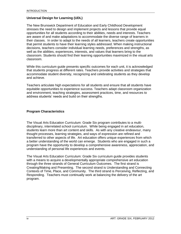## **Universal Design for Learning (UDL)**

The New Brunswick Department of Education and Early Childhood Development stresses the need to design and implement projects and lessons that provide equal opportunities for all students according to their abilities, needs and interests. Teachers are aware of and make adaptations to accommodate the diverse range of learners in their classes. In order to adapt to the needs of all learners, teachers create opportunities that permit students to have their learning styles addressed. When making instructional decisions, teachers consider individual learning needs, preferences and strengths, as well as the abilities, experiences, interests, and values that learners bring to the classroom. Students should find their learning opportunities maximized in the visual arts classroom.

While this curriculum guide presents specific outcomes for each unit, it is acknowledged that students progress at different rates. Teachers provide activities and strategies that accommodate student diversity, recognizing and celebrating students as they develop and achieve.

Teachers articulate high expectations for all students and ensure that all students have equitable opportunities to experience success. Teachers adapt classroom organization and environment, teaching strategies, assessment practices, time, and resources to address students' needs and build on their strengths.

## **Program Characteristics**

The Visual Arts Education Curriculum: Grade Six program contributes to a multidisciplinary, interrelated school curriculum. While being engaged in art education, students learn more than art content and skills. As with any creative endeavour, many thought processes, learning strategies, and ways of expression are refined and transferred to other aspects of life. Art education offers unique experiences from which a better understanding of the world can emerge. Students who are engaged in such a program have the opportunity to develop a comprehensive awareness, appreciation, and understanding of personal life experiences and events.

The Visual Arts Education Curriculum: Grade Six curriculum guide provides students with a means to acquire a developmentally appropriate comprehensive art education through the three strands of General Curriculum Outcomes. The first strand is Creating/Making and Presenting. The second strand is Understanding and Connecting Contexts of Time, Place, and Community. The third strand is Perceiving, Reflecting, and Responding. Teachers must continually work at balancing the delivery of the art program.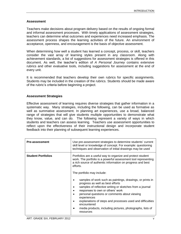## **Assessment**

Teachers make decisions about program delivery based on the results of ongoing formal and informal assessment processes. With timely applications of assessment strategies, teachers can determine what outcomes and experiences need increased emphasis. The assessment process shapes the learning activities of the future. An environment of acceptance, openness, and encouragement is the basis of objective assessment.

When determining how well a student has learned a concept, process, or skill, teachers consider the vast array of learning styles present in any classroom. Along with achievement standards, a list of suggestions for assessment strategies is offered in this document. As well, the teacher's edition of *A Personal Journey* contains extensive rubrics and other evaluative tools, including suggestions for assessment at the end of every unit.

It is recommended that teachers develop their own rubrics for specific assignments. Students may be included in the creation of the rubrics. Students should be made aware of the rubric's criteria before beginning a project.

## **Assessment Strategies**

Effective assessment of learning requires diverse strategies that gather information in a systematic way. Many strategies, including the following, can be used as formative as well as summative assessment. In planning art experiences, use a broad, balanced range of strategies that will give students multiple opportunities to demonstrate what they know, value, and can do. The following represent a variety of ways in which students and teachers can assess learning. Teachers use assessment opportunities to reflect upon the effectiveness of their instructional design and incorporate student feedback into their planning of subsequent learning experiences.

| <b>Pre-assessment</b>     | Use pre-assessment strategies to determine students' current<br>skill level or knowledge of concept. For example: questioning<br>techniques and observation of initial drawings may be used                                                                                                                                                                                                                                                                                                                         |  |  |
|---------------------------|---------------------------------------------------------------------------------------------------------------------------------------------------------------------------------------------------------------------------------------------------------------------------------------------------------------------------------------------------------------------------------------------------------------------------------------------------------------------------------------------------------------------|--|--|
| <b>Student Portfolios</b> | Portfolios are a useful way to organize and protect student<br>work. The portfolio is a powerful assessment tool representing<br>a rich source of authentic information on progress and best<br>efforts.<br>The portfolio may include:<br>samples of work such as paintings, drawings, or prints in<br>progress as well as best efforts<br>samples of reflective writing or sketches from a journal<br>responses to own or others' work<br>personal questions or comments about viewing<br>$\bullet$<br>experiences |  |  |
|                           | explanations of steps and processes used and difficulties<br>encountered<br>media products, including pictures, photographs, lists of<br>resources                                                                                                                                                                                                                                                                                                                                                                  |  |  |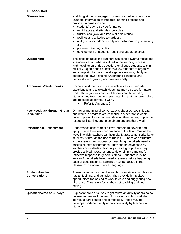| <b>Observation</b>                               | Watching students engaged in classroom art activities gives<br>valuable information of students' learning process and<br>provides information about:<br>students' day-to-day performance<br>work habits and attitudes towards art<br>$\bullet$<br>frustrations, joys, and levels of persistence<br>$\bullet$<br>feelings and attitudes towards art<br>$\bullet$<br>ability to work independently and collaboratively in making<br>$\bullet$<br>art<br>preferred learning styles<br>٠<br>development of students' ideas and understandings                                                                                                                                                                                                  |
|--------------------------------------------------|--------------------------------------------------------------------------------------------------------------------------------------------------------------------------------------------------------------------------------------------------------------------------------------------------------------------------------------------------------------------------------------------------------------------------------------------------------------------------------------------------------------------------------------------------------------------------------------------------------------------------------------------------------------------------------------------------------------------------------------------|
| Questioning                                      | The kinds of questions teachers ask send powerful messages<br>to students about what is valued in the learning process.<br>High-level, open-ended questions challenge students to think<br>critically. Open-ended questions allow students to organize<br>and interpret information, make generalizations, clarify and<br>express their own thinking, understand concepts, and<br>demonstrate originality and creative ability.                                                                                                                                                                                                                                                                                                            |
| <b>Art Journals/Sketchbooks</b>                  | Encourage students to write reflectively about their arts<br>experiences and to sketch ideas that may be used for future<br>work. These journals and sketchbooks can be used by<br>students and teachers to assess learning that has taken place<br>and to set goals for future work.<br>Refer to Appendix D                                                                                                                                                                                                                                                                                                                                                                                                                               |
| Peer Feedback through Group<br><b>Discussion</b> | On-going, meaningful conversations about concepts, ideas,<br>and works in progress are essential in order that students<br>have opportunities to find and develop their voices, to practise<br>respectful listening, and to celebrate one another's work.                                                                                                                                                                                                                                                                                                                                                                                                                                                                                  |
| <b>Performance Assessment</b>                    | Performance assessment allows learners to develop and<br>apply criteria to assess performance of the task. One of the<br>ways in which teachers can help clarify assessment criteria for<br>students is through the use of rubrics. Rubrics add structure<br>to the assessment process by describing the criteria used to<br>assess student performance. They can be developed by<br>teachers or students individually or as a group. They may<br>provide a fixed measurement scale or simply a means for<br>reflective response to general criteria. Students must be<br>aware of the criteria being used to assess before beginning<br>each project. Essential learnings may be posted in the<br>classroom in student-friendly language. |
| <b>Student-Teacher</b><br><b>Conversations</b>   | These conversations yield valuable information about learning<br>habits, feelings, and attitudes. They provide immediate<br>opportunities for looking at work to date and suggesting new<br>directions. They allow for on-the-spot teaching and goal<br>setting.                                                                                                                                                                                                                                                                                                                                                                                                                                                                           |
| <b>Questionnaires or Surveys</b>                 | A questionnaire or survey might follow an activity or project to<br>determine how well the team functioned and how well the<br>individual participated and contributed. These may be<br>developed independently or collaboratively by teachers and<br>students.                                                                                                                                                                                                                                                                                                                                                                                                                                                                            |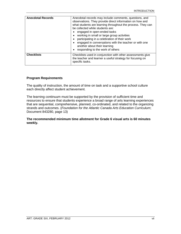| <b>Anecdotal Records</b> | Anecdotal records may include comments, questions, and<br>observations. They provide direct information on how and<br>what students are learning throughout the process. They can<br>be collected while students are:<br>engaged in open-ended tasks<br>working in small or large group activities<br>participating in a celebration of their work<br>engaged in conversations with the teacher or with one<br>another about their learning<br>responding to the work of others |
|--------------------------|---------------------------------------------------------------------------------------------------------------------------------------------------------------------------------------------------------------------------------------------------------------------------------------------------------------------------------------------------------------------------------------------------------------------------------------------------------------------------------|
| <b>Checklists</b>        | Checklists used in conjunction with other assessments give<br>the teacher and learner a useful strategy for focusing on<br>specific tasks.                                                                                                                                                                                                                                                                                                                                      |

## **Program Requirements**

The quality of instruction, the amount of time on task and a supportive school culture each directly affect student achievement.

The learning continuum must be supported by the provision of sufficient time and resources to ensure that students experience a broad range of arts learning experiences that are sequential, comprehensive, planned, co-ordinated, and related to the organizing strands and outcomes. (*Foundation for the Atlantic Canada Arts Education Curriculum*; Document 843280, page 13)

#### **The recommended minimum time allotment for Grade 6 visual arts is 60 minutes weekly.**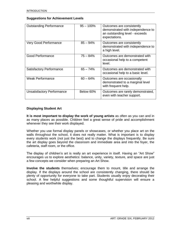## **Suggestions for Achievement Levels**

| <b>Outstanding Performance</b> | $95 - 100\%$ | Outcomes are consistently<br>demonstrated with independence to<br>an outstanding level - exceeds<br>expectations. |
|--------------------------------|--------------|-------------------------------------------------------------------------------------------------------------------|
| Very Good Performance          | $85 - 94\%$  | Outcomes are consistently<br>demonstrated with independence to<br>a high level.                                   |
| <b>Good Performance</b>        | $75 - 84%$   | Outcomes are demonstrated with<br>occasional help to a competent<br>level.                                        |
| Satisfactory Performance       | $65 - 74%$   | Outcomes are demonstrated with<br>occasional help to a basic level.                                               |
| <b>Weak Performance</b>        | $60 - 64%$   | Outcomes are occasionally<br>demonstrated to a marginal level<br>with frequent help.                              |
| Unsatisfactory Performance     | Below 60%    | Outcomes are rarely demonstrated,<br>even with teacher support.                                                   |

## **Displaying Student Art**

**It is most important to display the work of young artists** as often as you can and in as many places as possible. Children feel a great sense of pride and accomplishment whenever they see their work displayed.

Whether you use formal display panels or showcases, or whether you place art on the walls throughout the school, it does not really matter. What is important is to display every students work (not just the best) and to change the displays frequently. Be sure the art display goes beyond the classroom and immediate area and into the foyer, the cafeteria, staff room, or the office.

The display of children's art is really an art experience in itself. Having an "Art Show" encourages us to explore aesthetics: balance, unity, variety, texture, and space are just a few concepts we consider when preparing an Art Show.

**Involve the students** themselves; encourage them to mount, title and arrange the display. If the displays around the school are consistently changing, there should be plenty of opportunity for everyone to take part. Students usually enjoy decorating their school. A few helpful suggestions and some thoughtful supervision will ensure a pleasing and worthwhile display.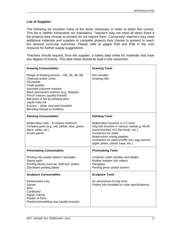## **List of Supplies**

The following list includes many of the items necessary in order to teach this course. This list is neither exhaustive nor mandatory. Teachers may not need all items listed if the projects they choose to present do not require them. Conversely, teachers may need additional materials and supplies to complete projects they choose to present to reach the desired curricular outcomes. Please refer to pages R38 and R39 in the core resource for further supply suggestions.

Teachers should request, from the supplier, a safety data sheet for materials that have any degree of toxicity. This data sheet should be kept in the classroom.

| <b>Drawing Consumables</b>                                                                                                                                                                                                                                                                                                                    | <b>Drawing Tools</b>                                                                                                                                                                                                                                                     |
|-----------------------------------------------------------------------------------------------------------------------------------------------------------------------------------------------------------------------------------------------------------------------------------------------------------------------------------------------|--------------------------------------------------------------------------------------------------------------------------------------------------------------------------------------------------------------------------------------------------------------------------|
| Range of drawing pencils - HB, 2B, 4B, 6B<br>Charcoal and/or conte<br>Oil pastels<br>Chalk pastels<br>Assorted coloured markers<br>Black permanent markers (e.g. Sharpie)<br>Pencil crayons (quality brands)<br>Ball point or felt tip drawing pens<br>Liquid India ink<br>Erasers - white vinyl and kneaded<br>Blending stumps or tortillons | Pen handles<br>Drawing nibs                                                                                                                                                                                                                                              |
| <b>Painting Consumables</b>                                                                                                                                                                                                                                                                                                                   | <b>Painting Tools</b>                                                                                                                                                                                                                                                    |
| Watercolour sets - 8 colours minimum.<br>Tempera paint (e.g. red, yellow, blue, green,<br>black, white, etc.)<br>Acrylic paints                                                                                                                                                                                                               | Watercolour brushes in 2-3 sizes<br>Hog hair brushes in various sizes(e.g. #6,#8<br>round brushes, #11 flat brush, etc.)<br>Containers for water<br>Watercolour mixing palettes<br>Containers for paint (muffin tins, egg cartons,<br>paper plates, plastic trays, etc.) |
| <b>Printmaking Consumables</b>                                                                                                                                                                                                                                                                                                                | <b>Printmaking Tools</b>                                                                                                                                                                                                                                                 |
| Printing inks (water based if possible)<br>Stamp pads<br>Printing blocks such as "Soft Kut" and/or<br>Styrofoam printing plates                                                                                                                                                                                                               | Linoleum cutter handles and blades<br>Rubber brayers (ink rollers)<br>Plexiglass<br>Printing press and/or barens                                                                                                                                                         |
| <b>Sculpture Consumables</b>                                                                                                                                                                                                                                                                                                                  | <b>Sculpture Tools</b>                                                                                                                                                                                                                                                   |
| Earthenware clay<br>Glazes<br>Wire<br>Cardboard<br>Papier mâché<br><b>Plaster of Paris</b><br>Plasticine/modeling clay (quality brands)                                                                                                                                                                                                       | An assortment of clay tools<br>Pottery kiln (installed to code specifications)                                                                                                                                                                                           |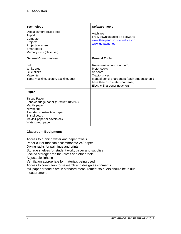| <b>Technology</b>                                                                                                                                                                                      | <b>Software Tools</b>                                                                                                                                                                                |
|--------------------------------------------------------------------------------------------------------------------------------------------------------------------------------------------------------|------------------------------------------------------------------------------------------------------------------------------------------------------------------------------------------------------|
| Digital camera (class set)<br>Tripod<br>Computer<br>Projector<br>Projection screen<br>Smartboard<br>Memory stick (class set)                                                                           | Artchives<br>Free, downloadable art software:<br>www.theopendisc.com/education<br>www.getpaint.net                                                                                                   |
| <b>General Consumables</b>                                                                                                                                                                             | <b>General Tools</b>                                                                                                                                                                                 |
| Felt<br>White glue<br>Glue sticks<br>Masonite<br>Tape: masking, scotch, packing, duct                                                                                                                  | Rulers (metric and standard)<br>Meter sticks<br><b>Scissors</b><br>X-acto knives<br>Manual pencil sharpeners (each student should<br>have their own metal sharpener)<br>Electric Sharpener (teacher) |
| Paper                                                                                                                                                                                                  |                                                                                                                                                                                                      |
| <b>Tissue Paper</b><br>Bond/cartridge paper (12"x18"; 18"x24")<br>Manila paper<br>Newsprint<br>Assorted construction paper<br><b>Bristol board</b><br>Mayfair paper or coverstock<br>Watercolour paper |                                                                                                                                                                                                      |

## **Classroom Equipment:**

Access to running water and paper towels Paper cutter that can accommodate 24" paper Drying racks for paintings and prints Storage shelves for student work, paper and supplies Locked storage area for knives and other tools Adjustable lighting Ventilation appropriate for materials being used Access to computers for research and design assignments \*All paper products are in standard measurement so rulers should be in dual measurement.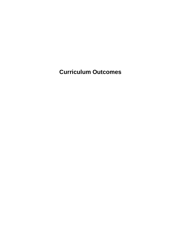**Curriculum Outcomes**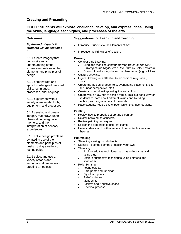## **GCO 1: Students will explore, challenge, develop, and express ideas, using the skills, language, techniques, and processes of the arts.**

## **Outcomes**

#### *By the end of grade 6, students will be expected to*

6.1.1 create imagery that demonstrates an understanding of the expressive qualities of the elements and principles of design

6.1.2 demonstrate and apply knowledge of basic art skills, techniques, processes, and language

6.1.3 experiment with a variety of materials, tools, equipment, and processes

6.1.4 develop and create imagery that draws upon observation, imagination, memory, and the interpretation of sensory experiences

6.1.5 solve design problems by making use of the elements and principles of design, using a variety of technologies

6.1.6 select and use a variety of tools and technological processes in creating art objects

## **Suggestions for Learning and Teaching**

- Introduce Students to the Elements of Art.
- Introduce the Principles of Design.

#### **Drawing:**

- Contour Line Drawing:
	- Blind and modified contour drawing (refer to: *The New Drawing on the Right Side of the Brain* by Betty Edwards)
		- Contour line drawings based on observation (e.g. still life)
- Gesture Drawing.
- Figure Drawing with attention to proportions (e.g. facial, body).
- Create the illusion of depth (e.g. overlapping placement, size, and linear perspective, etc.).
- Create abstract drawings using line and colour.
- Create value drawings of simple forms. This is a good way for students to learn about different values and blending techniques using a variety of materials.
- Have students keep a sketchbook which they use regularly.

## **Painting**

- Review how to properly set up and clean up.
- Review basic brush concepts.
- Review painting techniques.
- Explain the properties of different paints.
- Have students work with a variety of colour techniques and theories.

#### **Printmaking**

- Stamping using found objects.
- Stencils sponge stamps or design your own.
- Stamping:
	- Explore additive techniques such as collographs and using glue.
	- Explore subtractive techniques using potatoes and styrofoam.
	- Relief Printing:
	- Found objects
	- Card prints and rubbings
	- Styrofoam prints
	- Relief surfaces
	- **Monoprints**
	- Positive and Negative space
	- Reversal process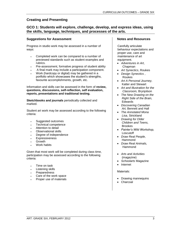## **GCO 1: Students will explore, challenge, develop, and express ideas, using the skills, language, techniques, and processes of the arts.**

## **Suggestions for Assessment**

Progress in studio work may be assessed in a number of ways:

- Completed work can be compared to a number of previewed standards such as student examples and rubrics.
- Pre-assessment, formative progress of student ability
- A final mark may include a participation component.
- Work (hardcopy or digital) may be gathered in a portfolio which showcases the student's strengths, favourite accomplishments, growth, etc.

Information and skills can be assessed in the form of **review, questions, discussions, self-reflection, self evaluation, reports, presentations and traditional testing.**

**Sketchbooks and journals** periodically collected and marked.

Student art work may be assessed according to the following criteria:

- Suggested outcomes
- Technical competence
- Attention to detail
- Observational skills
- Degree of independence
- Expressiveness
- Growth
- Work habits

Given that most work will be completed during class time, participation may be assessed according to the following criteria:

- Time on task
- Listening skills
- Preparedness
- Care of the work space
- Proper use of materials

#### **Notes and Resources**

Carefully articulate behaviour expectations and proper use, care and maintenance of art equipment.

- *Adventures in Art*, Chapman
- *Art Synectics*, Roukes
- *Design Synectics* , Roukes
- *Art A Personal Journey,* Katter and Stewart
- *Art and Illustration for the Classroom,* Brynjolson
- *The New Drawing on the Right Side of the Brain,* Edwards
- *Discovering Canadian Art,* Bennett and Hall
- *The Annotated Mona Lisa*, Strickland
- *Drawing for Older Children and Teens,* Brookes
- *Painter's Wild Workshop,* Loscutoff
- *Draw Real People,* Hammond
- *Draw Real Animals,* Hammond
- *Arts and Activities* (magazine)
- *Schoolarts* Magazine
- Internet

Materials:

- Drawing mannequins
- Charcoal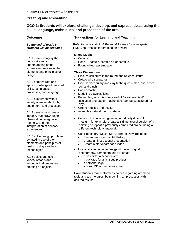## **GCO 1: Students will explore, challenge, develop, and express ideas, using the skills, language, techniques, and processes of the arts.**

## **Outcomes**

#### *By the end of grade 6, students will be expected to*

6.1.1 create imagery that demonstrates an understanding of the expressive qualities of the elements and principles of design

6.1.2 demonstrate and apply knowledge of basic art skills, techniques, processes, and language

6.1.3 experiment with a variety of materials, tools, equipment, and processes

6.1.4 develop and create imagery that draws upon observation, imagination, memory, and the interpretation of sensory experiences

6.1.5 solve design problems by making use of the elements and principles of design, using a variety of technologies

6.1.6 select and use a variety of tools and technological processes in creating art objects

## **Suggestions for Learning and Teaching**

Refer to page xxxiii in *A Personal Journey* for a suggested Five-Step Process for creating an artwork.

#### **Mixed Media**

- Collage
- Resist pastels, scratch art or scraffito.
- Found object assemblage

#### **Three Dimensional**

- Discuss sculpture in the round and relief sculpture
- Create wire sculptures
- Discuss vocabulary and clay techniques slab, slip, score coil and pinch
- Papier-mâché
- Modeling clay/plasticine
- Paper clay, which is composed of "Weathershield" insulation and papier-mâché glue (can be substituted for clay)
- Create mobiles and masks
- Assemble natural found material
- Copy an historical image using a radically different medium, for example, create a 3-dimensional version of a painting or repeat a previously completed project using a different technology/material.
- Use Photostory, Digital Storytelling or Powerpoint to:
	- Present an aspect of Art History
	- Create an instructional presentation
	- Create a storyboard for a video
- Use available technologies (printmaking, digital photography, computers, etc.) to create:
	- a poster for a school event
	- a package for a fictitious product
	- a personal logo
	- a book, CD or magazine cover

Have students make informed choices regarding art media, tools and technologies, by matching art processes with desired results.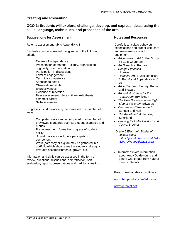## **GCO 1: Students will explore, challenge, develop, and express ideas, using the skills, language, techniques, and processes of the arts.**

#### **Suggestions for Assessment**

Refer to assessment rubric Appendix A.1

Students may be assessed using some of the following criteria:

- Degree of independence
- Presentation of material clarity, organization, originality, communication
- Participation in discussions
- Level of engagement
- Technical competence
- Attention to detail
- Observational skills
- Expressiveness
- Evidence of reflection
- Peer assessment (class critique, exit sheets, comment cards)
- Self-assessment

Progress in studio work may be assessed in a number of ways:

- Completed work can be compared to a number of previewed standards such as student examples and rubrics.
- Pre-assessment, formative progress of student ability
- A final mark may include a participation component.
- Work (hardcopy or digital) may be gathered in a portfolio which showcases the student's strengths, favourite accomplishments, growth, etc.

Information and skills can be assessed in the form of review, questions, discussions, self-reflection, selfevaluation, reports, presentations and traditional testing.

## **Notes and Resources**

Carefully articulate behaviour expectations and proper use, care and maintenance of art equipment.

- *Adventures in Art 6*, Unit 3 (p.p. 88-103) Chapman
- *Art Synectics*, Roukes
- *Design Synectics* , Roukes
- *Teaching Art,* Brynjolson (Part 3, Part 6 and Appendices A, C, D)
- *Art A Personal Journey,* Katter and Stewart
- *Art and Illustration for the Classroom,* Brynjolson
- *The New Drawing on the Right Side of the Brain,* Edwards
- *Discovering Canadian Art,* Bennett and Hall
- *The Annotated Mona Lisa*, **Strickland**
- *Drawing for Older Children and Teens,* Brookes

Grade 6 *Electronic Binder of lesson plans [https://portal.nbed.nb.ca/tr/lr/k-](https://portal.nbed.nb.ca/tr/lr/k-12Arts/Pages/default.aspx)[12Arts/Pages/default.aspx](https://portal.nbed.nb.ca/tr/lr/k-12Arts/Pages/default.aspx)*

• Internet: explore information about Andy Goldsworthy and others who create from natural found materials

Free, downloadable art software:

[www.theopendisc.com/education](http://www.theopendisc.com/education)

[www.getpaint.net](http://www.getpaint.net/)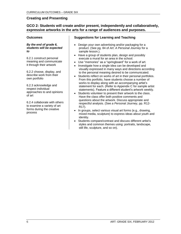## **GCO 2: Students will create and/or present, independently and collaboratively, expressive artworks in the arts for a range of audiences and purposes.**

## **Outcomes**

*By the end of grade 6, students will be expected to*

6.2.1 construct personal meaning and communicate it through their artwork

6.2.2 choose, display, and describe work from their own portfolio

6.2.3 acknowledge and respect individual approaches to and opinions of art

6.2.4 collaborate with others to examine a variety of art forms during the creative process

## **Suggestions for Learning and Teaching**

- Design your own advertising and/or packaging for a product. (See pg. 84 of *Art: A Personal Journey* for a sample lesson.).
- Have a group of students plan, design and possibly execute a mural for an area in the school.
- Use "memories" as a "springboard" for a work of art.
- Investigate how a single idea can be developed and visually expressed in many ways and directions according to the personal meaning desired to be communicated.
- Students reflect on works of art in their personal portfolios. From this portfolio, have students choose a number of works to display along with an accompanying artist's statement for each. (Refer to Appendix C for sample artist statements). Feature a different student's artwork weekly.
- Students volunteer to present their artwork to the class. Have the class offer both positive comments and questions about the artwork. Discuss appropriate and respectful analysis. (See *a Personal Journey,* pp. R12- R17).
- In groups, select various visual art forms (e.g., drawing, mixed media, sculpture) to express ideas about youth and identity.
- Students compare/contrast and discuss different artist's styles and common themes using: portraits, landscape, still life, sculpture, and so on).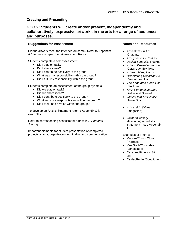## **GCO 2: Students will create and/or present, independently and collaboratively, expressive artworks in the arts for a range of audiences and purposes.**

## **Suggestions for Assessment**

Did the artwork meet the intended outcome? Refer to Appendix A.1 for an example of an Assessment Rubric.

Students complete a self-assessment:

- Did I stay on task?
- Did I share ideas?
- Did I contribute positively to the group?
- What was my responsibility within the group?
- Did I fulfil my responsibility within the group?

Students complete an assessment of the group dynamic:

- Did we stay on task?
- Did we share ideas?
- Did I contribute positively to the group?
- What were our responsibilities within the group?
- Did I feel I had a voice within the group?

To develop an Artist's Statement refer to Appendix C for examples.

Refer to corresponding assessment rubrics in *A Personal Journey.*

Important elements for student presentation of completed projects: clarity, organization, originality, and communication.

## **Notes and Resources**

- *Adventures in Art* Chapman
- *Art Synectics -* Roukes
- *Design Synectics* Roukes
- *Art and Illustration for the Classroom* Brynjolson
- *Art from Many Hands*
- *Discovering Canadian Art* Bennett and Hall
- *The Annotated Mona Lisa*  **Strickland**
- *Art A Personal Journey* Katter and Stewart
- *Getting into Art History* Annie Smith
- *Arts and Activities* (magazine)
- Guide to writing/ developing an artist's statement – see Appendix C

Examples of Themes:

- Matisse/Chuck Close (Portraits)
- Van Gogh/Constable (Landscapes)
- Cezanne/Picasso (Still Life)
- Calder/Rodin (Sculptures)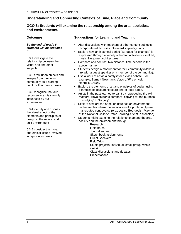## **GCO 3: Students will examine the relationship among the arts, societies, and environments.**

## **Outcomes**

#### *By the end of grade 6, students will be expected to*

6.3.1 investigate the relationship between the visual arts and other subjects

6.3.2 draw upon objects and images from their own community as a starting point for their own art work

6.3.3 recognize that our response to art is strongly influenced by our experiences

6.3.4 identify and discuss the visual effect of the elements and principles of design in the natural and built environment

6.3.5 consider the moral and ethical issues involved in reproducing work

## **Suggestions for Learning and Teaching**

- After discussions with teachers of other content subjects, incorporate art activities into interdisciplinary units.
- Explore how an historical period (Baroque for example) is expressed through a variety of human activities (visual art, music, literature, architecture).
- Compare and contrast two historical time periods in the above manner.
- Students design a monument for their community (Make a link with a guest speaker or a member of the community).
- Use a work of art as a catalyst for a class debate. For example, Barnett Newman's *Voice of Fire* or Keith Haring's *Graffiti.*
- Explore the elements of art and principles of design using examples of local architecture and/or local parks.
- Artists in the past learned to paint by reproducing the old masters. Have students compare "copying for the purpose of studying" to "forgery".
- Explore how art can affect or influence an environment; find examples where the installation of a public sculpture has created controversy (e.g., Louise Bourgeois' *Maman*  at the National Gallery; Peter Powning's *Nest* in Moncton).
- Students might examine the relationship among the arts, society and the environment through:
	- · Research
	- **Field notes**
	- · Journal entries
	- Sketchbook assignments
	- Guest Speakers
	- **Field Trips**
	- Studio projects (individual, small group, whole class)
	- Class discussions and debates
	- **Presentations**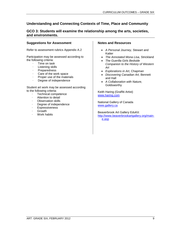## **GCO 3: Students will examine the relationship among the arts, societies, and environments.**

## **Suggestions for Assessment**

Refer to assessment rubrics Appendix A.2

Participation may be assessed according to the following criteria:

- · Time on task
- Listening skills
- **Preparedness**
- · Care of the work space
- Proper use of the materials
- Degree of independence

Student art work may be assessed according to the following criteria:

- · Technical competence
- Attention to detail
- · Observation skills
- Degree of independence
- **Expressiveness**
- **Growth**
- Work habits

## **Notes and Resources**

- *A Personal Journey,* Stewart and Katter
- *The Annotated Mona Lisa,* Strickland
- *The Guerilla Girls Bedside Companion to the History of Western Art*
- *Explorations in Art,* Chapman
- *Discovering Canadian Art,* Bennett and Hall
- *A Collaboration with Nature,*  Goldsworthy

Keith Haring (Graffiti Artist) [www.haring.com](http://www.haring.com/)

National Gallery of Canada [www.gallery.ca](http://www.gallery.ca/)

Beaverbrook Art Gallery EduKit: [http://www.beaverbrookartgallery.org/main](http://www.beaverbrookartgallery.org/main-e.asp)[e.asp](http://www.beaverbrookartgallery.org/main-e.asp)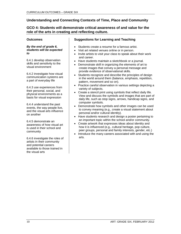## **GCO 4: Students will demonstrate critical awareness of and value for the role of the arts in creating and reflecting culture.**

## **Outcomes**

#### *By the end of grade 6, students will be expected to*

6.4.1 develop observation skills and sensitivity to the visual environment

6.4.2 investigate how visual communication systems are a part of everyday life

6.4.3 use experiences from their personal, social, and physical environments as a basis for visual expression

6.4.4 understand the past events, the way people live, and the visual arts influence on another

6.4.5 demonstrate an awareness of how visual art is used in their school and community

6.4.6 investigate the roles of artists in their community and potential careers available to those trained in the visual arts

## **Suggestions for Learning and Teaching**

- Students create a resume for a famous artist.
- Visit art related venues online or in person.
- Invite artists to visit your class to speak about their work and career.
- Have students maintain a sketchbook or a journal.
- Demonstrate skill in organizing the elements of art to create images that convey a personal message and provide evidence of observational skills.
- Students recognize and describe the principles of design in the world around them (balance, emphasis, repetition, pattern, movement and so on).
- Practice careful observation in various settings depicting a variety of subjects.
- Create a stencil print using symbols that reflect daily life. View and discuss the symbols and images that are part of daily life, such as stop signs, arrows, handicap signs, and computer symbols.
- Demonstrate how symbols and other images can be used to convey meaning (e.g., create a visual statement about personal and/or cultural identity).
- Have students research and design a poster pertaining to an important topic within the school and/or community.
- Create artwork that expresses ideas about identity and how it is influenced (e.g., cultural heritage, pop culture, peer groups, personal and family interests, gender, etc.)
- Introduce the many careers associated with and using the arts.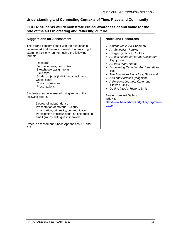## **GCO 4: Students will demonstrate critical awareness of and value for the role of the arts in creating and reflecting culture.**

## **Suggestions for Assessment**

This strand concerns itself with the relationship between art and the environment. Students might examine their environment using the following formats:

- Research
- Journal entries, field notes
- Sketchbook assignments
- Field trips
- Studio projects (individual, small group, whole class)
- Class discussions
- **Presentations**

Students may be assessed using some of the following criteria.

- Degree of independence
- Presentation of material clarity, organization, originality, communication
- Participation in discussions, on field trips, in small groups, with guest speakers

Refer to assessment rubrics Appendices A.1 and A.2

## **Notes and Resources**

- *Adventures in Art* Chapman
- *Art Synectics,* Roukes
- *Design Synectics,* Roukes
- *Art and Illustration for the Classroom,* Brynjolson
- *Art from Many Hands*
- *Discovering Canadian Art,* Bennett and Hall
- *The Annotated Mona Lisa,* Strickland
- *Arts and Activities* (magazine)
- *A Personal Journey,* Katter and Stewart, Unit 2
- *Getting into Art History,* Smith

Beaverbrook Art Gallery EduKit: [http://www.beaverbrookartgallery.org/main](http://www.beaverbrookartgallery.org/main-e.asp)[e.asp](http://www.beaverbrookartgallery.org/main-e.asp)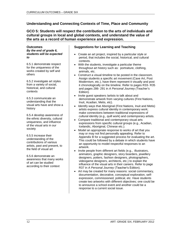## **GCO 5: Students will respect the contribution to the arts of individuals and cultural groups in local and global contexts, and understand the value of the arts as a record of human experience and expression.**

#### **Outcomes** *By the end of grade 6, students will be expected to*

6.5.1 demonstrate respect for the uniqueness of the works created by self and others

6.5.2 investigate art styles from a variety of social, historical, and cultural contexts

6.5.3 communicate an understanding that the visual arts have and show a history

6.5.4 develop awareness of the ethnic diversity, cultural uniqueness, and influence of the visual arts in our society

6.5.5 increase their understanding of the contributions of various artists, past and present, to the field of visual art

6.5.6 demonstrate an awareness that many works of art can be studied according to their context

## **Suggestions for Learning and Teaching**

- Create an art project, inspired by a particular style or period, that includes the social, historical, and cultural contexts.
- With the students, investigate a particular theme throughout art history such as: portraiture, clothing, animals, etc.
- Construct a visual timeline to be posted in the classroom. Assign students a specific art movement (Cave Art, Post Modernism, etc.), have them represent it visually and post it chronologically on the timeline. Refer to pages R33- R35 and pages 286- 291 in *A Personal Journey (*Teacher's Edition)*.*
- Invite guest speakers / artists to talk about and demonstrate artwork from varying cultures (First Nations, Inuit, Acadian, Metis, etc).
- Identify ways that Aboriginal (First Nations, Inuit and Metis) artists express cultural identity in contemporary work; make connections between traditional expressions of cultural identity (e.g., quill work) and contemporary artists.
- Compare traditional and contemporary visual arts expressions from specific cultural groups (e.g., Acadian, Icelandic, Aboriginal, Chinese etc.).
- Model an appropriate response to works of art that you may or may not find personally appealing. Refer to Appendix B for a suggested process for evaluating the art. This could be followed by a debate in which students have an opportunity to model respectful responses to an artwork.
- Invite people from different art fields (e.g., illustrators, animators, graphic designers, story boarders, jewellery designers, potters, fashion designers, photographers, videogame designers, architects, etc.) to explain the influence of the visual arts in their careers. Refer to page R37 in *A Personal Journey* (Teacher's Edition).
- Art may be created for many reasons: social commentary, documentation, decorative, conceptual exploration, selfexpression, commissioned, political, etc. Have students create two artworks with different objectives; one could be to announce a school event and another could be a response to a current social issue.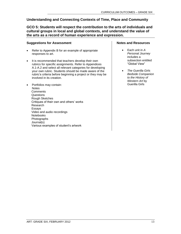## **GCO 5: Students will respect the contribution to the arts of individuals and cultural groups in local and global contexts, and understand the value of the arts as a record of human experience and expression.**

## **Suggestions for Assessment**

- Refer to Appendix B for an example of appropriate responses to art.
- It is recommended that teachers develop their own rubrics for specific assignments. Refer to Appendices A.1-A.2 and select all relevant categories for developing your own rubric. Students should be made aware of the rubric's criteria before beginning a project or they may be involved in its creation.
- Portfolios may contain: **Notes Comments**  Questions Rough Sketches Critiques of their own and others' works Research Essays Video and audio recordings Notebooks Photographs Journal(s) Various examples of student's artwork

## **Notes and Resources**

- Each unit in *A Personal Journey* includes a subsection entitled "Global View"
- *The Guerilla Girls Bedside Companion to the History of Western Art* by Guerilla Girls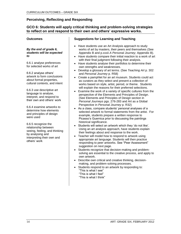## **GCO 6: Students will apply critical thinking and problem-solving strategies to reflect on and respond to their own and others' expressive works.**

## **Outcomes**

#### *By the end of grade 6, students will be expected to*

6.6.1 analyse preferences for selected works of art

6.6.2 analyse others' artwork to form conclusions about formal properties, cultural contexts, and intent

6.6.3 use descriptive art language to analyse, interpret, and respond to their own and others' work

6.6.4 examine artworks to determine how elements and principles of design were used

6.6.5 recognize the relationship between seeing, feeling, and thinking by analysing and interpreting their own and others' work

## **Suggestions for Learning and Teaching**

- Have students use an Art Analysis approach to study works of art by masters, their peers and themselves (See Appendix B and p.xxxii *A Personal Journey;* Appendix B).
- Have students compare their initial reaction to a work of art with their final judgment following their analysis.
- Have students analyse their portfolios to determine their own strengths and weaknesses.
- Develop a glossary of art terms. (See *Teaching Art* p. 302 and *Personal Journey* p. R58)
- Create a pamphlet for an art museum. Students could act as curators as they select and present a collection of works based on style, artist, period, or theme. Students will explain the reasons for their preferred selections.
- Examine the work of a variety of specific cultures from the perspective of the Elements and Principles of Design. (See Elements and Principles of Design section in *Personal Journeys* pgs. 276-283 and Art as a Global Perspective in *Personal Journey* p. R32)
- As a class, compare students' personal analyses of a selected artwork to formal statements from the artist. For example, students prepare a written response to Picasso's Guernica prior to discussing the paintings historical significance.
- Students will select an artwork which they 'do not like'. Using an art analysis approach, have students explain their feelings about and response to the work.
- Teacher will model how to respond to artwork using appropriate art language. Students will then practice responding to peer artworks. See "Peer Assessment" suggestion on next page.
- Students recognize that decision-making and problemsolving are essential to the creative process, and apply to own artwork.
- Describe own critical and creative thinking, decisionmaking, and problem-solving processes.
- Students respond to an artwork by responding to: "This is what I see" "This is what I feel"
	- "This is what I think"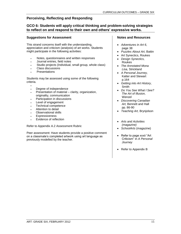## **GCO 6: Students will apply critical thinking and problem-solving strategies to reflect on and respond to their own and others' expressive works.**

## **Suggestions for Assessment**

This strand concerns itself with the understanding, appreciation and criticism (analysis) of art works. Students might participate in the following activities:

- Notes, questionnaires and written responses
- Journal entries, field notes
- Studio projects (Individual, small group, whole class)
- Class discussions
- **Presentations**

Students may be assessed using some of the following criteria.

- $\bullet$ Degree of independence
- Presentation of material clarity, organization, originality, communication
- Participation in discussions
- Level of engagement
- Technical competence
- Attention to detail
- Observational skills
- **Expressiveness**
- Evidence of reflection

Refer to Appendix A.2 Assessment Rubric

Peer assessment: Have students provide a positive comment on a classmate's completed artwork using art language as previously modelled by the teacher.

#### **Notes and Resources**

- *Adventures in Art 6*, page 38
- *Puzzles About Art,* Battin
- Art Synectics, Roukes
- *Design Synectics,* Roukes
- *The Annotated Mona Lisa,* Strickland
- *A Personal Journey,* Katter and Stewart p.164
- *Getting into Art History,* **Smith**
- *Do You See What I See? The Art of Illusion,*  **Wenzel**
- *Discovering Canadian Art,* Bennett and Hall pp. 86-90
- *Teaching Art,* Brynjolson
- *Arts and Activities (magazine)*
- *SchoolArts* (magazine)
- Refer to page xxxii "Art Criticism" in *A Personal Journey*
- Refer to Appendix B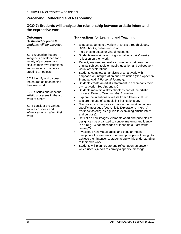## **GCO 7: Students will analyse the relationship between artistic intent and the expressive work.**

**Outcomes** *By the end of grade 6, students will be expected to*

6.7.1 recognize that art imagery is developed for a variety of purposes, and discuss their own intentions and intentions of others in creating art objects

6.7.2 identify and discuss the source of ideas behind their own work

6.7.3 discuss and describe artistic processes in the art work of others

6.7.4 consider the various sources of ideas and influences which affect their work

## **Suggestions for Learning and Teaching**

- Expose students to a variety of artists through videos, DVDs, books, online and so on.
- Field trips to actual or virtual museums.
- Students maintain a working journal as a daily/ weekly reflection on their work.
- Reflect, analyse, and make connections between the original subject, topic or inquiry question and subsequent visual art explorations.
- Students complete an analysis of an artwork with emphasis on Interpretation and Evaluation (See Appendix B and p. xxxii *A Personal Journey*).
- Students create an artist's statement to accompany their own artwork. See Appendix C.
- Students maintain a sketchbook as part of the artistic process. Refer to *Teaching Art,* Brynjolson
- Explore the intentions of artists from different cultures.
- Explore the use of symbols in First Nations art.
- Discuss artists that use symbols in their work to convey specific messages (see Unit 6, Explorations in *Art - A Personal Journey* as a guide to examining artistic intent and purpose).
- Reflect on how images, elements of art and principles of design can be organized to convey meaning and identity in art (e.g., What messages or ideas do our art works convey?).
- Investigate how visual artists and popular media manipulate the elements of art and principles of design to achieve their intentions; students apply this understanding to their own work.
- Students will plan, create and reflect upon an artwork which uses symbols to convey a specific message.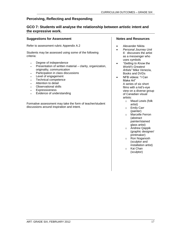## **GCO 7: Students will analyse the relationship between artistic intent and the expressive work.**

## **Suggestions for Assessment**

Refer to assessment rubric Appendix A.2

Students may be assessed using some of the following criteria:

- Degree of independence
- Presentation of written material clarity, organization, originality, communication
- Participation in class discussions
- Level of engagement
- Technical competence
- Attention to detail
- Observational skills
- **Expressiveness**
- Evidence of understanding

Formative assessment may take the form of teacher/student discussions around inspiration and intent.

## **Notes and Resources**

- Alexander Nikita
- *Personal Journey Unit 6*: discusses the artist as a messenger who uses symbols
- *"Getting to Know the World's Greatest Artists"* Mike Venezia, Books and DVDs
	- NFB videos: "I Can Make Art" A series of six short films with a kid's-eye view on a diverse group of Canadian visual artists:
		- o Maud Lewis (folk artist)
		- o Emily Carr (painter)
		- o Marcelle Ferron (abstract painter/stained glass artist)
		- o Andrew Qappik (graphic designer/ printmaker)
		- o Ron Noganosh (sculptor and installation artist)
		- o Kai Chan (sculptor)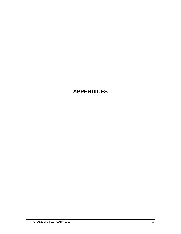## **APPENDICES**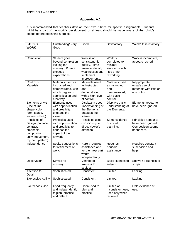## **Appendix A.1**

It is recommended that teachers develop their own rubrics for specific assignments. Students might be a part of the rubric's development, or at least should be made aware of the rubric's criteria before beginning a project.

| <b>STUDIO</b><br><b>WORK</b>                                                                                        | Outstanding/Very<br>Good                                                                                           | Good                                                                                                                | Satisfactory                                                                       | Weak/Unsatisfactory                                                                  |
|---------------------------------------------------------------------------------------------------------------------|--------------------------------------------------------------------------------------------------------------------|---------------------------------------------------------------------------------------------------------------------|------------------------------------------------------------------------------------|--------------------------------------------------------------------------------------|
| Completion                                                                                                          | Student goes<br>beyond completion<br>looking for<br>mastery. Project<br>exceeds<br>expectations.                   | Work is of<br>consistent high<br>quality. Time<br>taken to identify<br>weaknesses and<br>implement<br>improvements. | Work is<br>completed to<br>minimal<br>standards with<br>little or no<br>reworking. | Work is incomplete,<br>appears rushed.                                               |
| Control of<br><b>Materials</b>                                                                                      | Materials used as<br>instructed and<br>demonstrated, with<br>a high degree of<br>sophistication and<br>creativity. | Materials used<br>as instructed<br>and<br>demonstrated,<br>with a high level<br>of control.                         | Materials used<br>as instructed<br>and<br>demonstrated,<br>with basic<br>control   | Inappropriate,<br>unsafe use of<br>materials with little or<br>no control            |
| Elements of Art<br>(Use of line,<br>shape, color,<br>form, space,<br>texture, value,)                               | Elements used<br>with sophistication<br>and creativity;<br>engages the<br>viewer.                                  | Displays a good<br>understanding of<br>the Elements;<br>engages the<br>viewer.                                      | Displays basic<br>understanding of<br>the Elements.                                | Elements appear to<br>have been ignored.                                             |
| Principles of<br>Design (balance,<br>contrast,<br>emphasis,<br>composition,<br>unity, movement,<br>rhythm, pattern) | Principles used<br>with sophistication<br>and creativity to<br>enhance the<br>impact of the<br>artwork.            | Principles used<br>consciously to<br>direct viewer's<br>attention.                                                  | Some evidence<br>of visual<br>planning.                                            | Principles appear to<br>have been ignored.<br><b>Composition seems</b><br>haphazard. |
| Independence                                                                                                        | Seeks suggestions<br>for refinement of<br>work.                                                                    | Rarely requires<br>assistance and<br>for the most part<br>works<br>independently.                                   | Requires<br>periodic<br>assistance.                                                | Requires constant<br>supervision and<br>help.                                        |
| Observation                                                                                                         | Strives for<br>mastery.                                                                                            | Very good<br>likeness to<br>subject.                                                                                | Basic likeness to<br>subject.                                                      | Shows no likeness to<br>subject.                                                     |
| Attention to<br>Detail                                                                                              | Sophisticated.                                                                                                     | Consistent.                                                                                                         | Limited.                                                                           | Lacking.                                                                             |
| <b>Expressive Ability</b>                                                                                           | Sophisticated.                                                                                                     | Consistent.                                                                                                         | Limited.                                                                           | Lacking.                                                                             |
| Sketchbook Use                                                                                                      | Used frequently<br>and independently<br>to plan, practice<br>and reflect.                                          | Often used to<br>plan and<br>practice.                                                                              | Limited or<br>inconsistent use;<br>used only when<br>required.                     | Little evidence of<br>use.                                                           |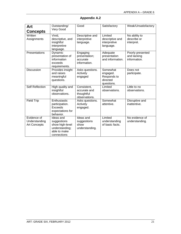| Art                                                 | Outstanding/<br>Very Good                                                                    | Good                                                       | Satisfactory                                                  | Weak/Unsatisfactory                             |
|-----------------------------------------------------|----------------------------------------------------------------------------------------------|------------------------------------------------------------|---------------------------------------------------------------|-------------------------------------------------|
| <b>Concepts</b>                                     |                                                                                              |                                                            |                                                               |                                                 |
| Written<br>Assignments                              | Vivid,<br>descriptive, and<br>insightful<br>interpretive<br>language.                        | Descriptive and<br>interpretive<br>language.               | Limited<br>descriptive and<br>interpretive<br>language.       | No ability to<br>describe or<br>interpret.      |
| Presentations                                       | Dynamic<br>presentation of<br>information<br>exceeds<br>requirements.                        | Engaging<br>presentation;<br>accurate<br>information.      | Adequate<br>presentation<br>and information.                  | Poorly presented<br>and lacking<br>information. |
| Discussion                                          | Provides insight<br>and raises<br>meaningful<br>questions.                                   | Asks questions.<br>Actively<br>engaged                     | Somewhat<br>engaged.<br>Responds to<br>directed<br>questions. | Does not<br>participate.                        |
| <b>Self Reflection</b>                              | High quality and<br>insightful<br>observations.                                              | Consistent,<br>accurate and<br>thoughtful<br>observations. | Limited<br>observations.                                      | Little to no<br>observations.                   |
| <b>Field Trip</b>                                   | Enthusiastic<br>participation.<br>Exceeds<br>expectations for<br>behavior.                   | Asks questions.<br>Actively<br>engaged.                    | Somewhat<br>attentive.                                        | Disruptive and<br>inattentive.                  |
| Evidence of<br>Understanding<br><b>Art Concepts</b> | Ideas and<br>suggestions<br>show high-level<br>understanding;<br>able to make<br>connections | Ideas and<br>suggestions<br>show<br>understanding.         | Limited<br>understanding<br>of basic facts.                   | No evidence of<br>understanding.                |

## **Appendix A.2**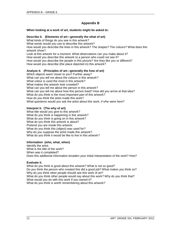## **Appendix B**

## **When looking at a work of art, students might be asked to:**

#### **Describe it. (Elements of art—generally the what of art)**

What kinds of things do you see in this artwork? What words would you use to describe this artwork? How would you describe the lines in this artwork? The shapes? The colours? What does this artwork show? Look at this artwork for a moment. What observations can you make about it? How would you describe this artwork to a person who could not see it? How would you describe the people in this picture? Are they like you or different? How would you describe (the place depicted in) this artwork?

## **Analyze it. (Principles of art—generally the how of art)**

Which objects seem closer to you? Further away? What can you tell me about the colours in this artwork? What colour is used the most in this artwork? What makes this artwork look crowded? What can you tell me about the person in this artwork? What can you tell me about how this person lived? How did you arrive at that idea? What do you think is the most important part of this artwork? How do you think the artist made this work? What questions would you ask the artist about this work, if s/he were here?

## **Interpret it. (The why of art)**

What title would you give to this artwork? What do you think is happening in this artwork? What do you think is going on in this artwork? What do you think this artwork is about? Pretend you are inside this artwork: What do you think this (object) was used for? Why do you suppose the artist made this artwork? What do you think it would be like to live in this artwork?

#### **Information (who, what, when)**

Identify the artist. What is the title of the work? When was it completed? Does this additional information broaden your initial interpretation of the work? How?

#### **Evaluate it.**

What do you think is good about this artwork? What is not so good? Do you think the person who created this did a good job? What makes you think so? Why do you think other people should see this work of art? What do you think other people would say about this work? Why do you think that? What would you do with this work if you owned it? What do you think is worth remembering about this artwork?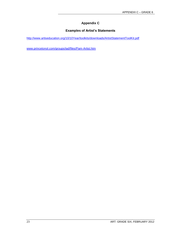## **Appendix C**

## **Examples of Artist's Statements**

<http://www.artiseducation.org/10/10Year/toolkits/downloads/ArtistStatementToolKit.pdf>

[www.princetonol.com/groups/iad/files/Pam-Artist.htm](http://www.princetonol.com/groups/iad/files/Pam-Artist.htm)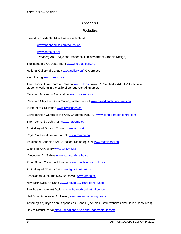## **Appendix D**

#### **Websites**

Free, downloadable Art software available at:

[www.theopendisc.com/education](http://www.theopendisc.com/education)

[www.getpaint.net](http://www.getpaint.net/)

*Teaching Art,* Brynjolson, Appendix D (Software for Graphic Design)

The incredible Art Department [www.incredibleart.org](http://www.incredibleart.org/)

National Gallery of Canada [www.gallery.ca/;](http://www.gallery.ca/) Cybermuse

Keith Haring [www.haring.com](http://www.haring.com/)

The National Film Board of Canada [www.nfb.ca;](http://www.nfb.ca/) search "I Can Make Art Like" for films of students working in the style of various Canadian artists

Canadian Museums Association [www.museums.ca](http://www.museums.ca/)

Canadian Clay and Glass Gallery, Waterloo, ON [www.canadianclayandglass.ca](http://www.canadianclayandglass.ca/)

Museum of Civilization [www.civilization.ca](http://www.civilization.ca/)

Confederation Centre of the Arts, Charlottetown, PEI [www.confederationcentre.com](http://www.confederationcentre.com/)

The Rooms, St. John, NF [www.therooms.ca](http://www.therooms.ca/)

Art Gallery of Ontario, Toronto [www.ago.net](http://www.ago.net/)

Royal Ontario Museum, Toronto [www.rom.on.ca](http://www.rom.on.ca/)

McMichael Canadian Art Collection, Kleinburg, ON [www.mcmichael.ca](http://www.mcmichael.ca/)

Winnipeg Art Gallery [www.wag.mb.ca](http://www.wag.mb.ca/)

Vancouver Art Gallery [www.vanartgallery.bc.ca](http://www.vanartgallery.bc.ca/)

Royal British Columbia Museum [www.royalbcmuseum.bc.ca](http://www.royalbcmuseum.bc.ca/)

Art Gallery of Nova Scotia [www.agns.ednet.ns.ca](http://www.agns.ednet.ns.ca/)

Association Museums New Brunswick [www.amnb.ca](http://www.amnb.ca/)

New Brunswick Art Bank [www.gnb.ca/0131/art\\_bank-e.asp](http://www.gnb.ca/0131/art_bank-e.asp)

The Beaverbrook Art Gallery [www.beaverbrookartgallery.org](http://www.beaverbrookartgallery.org/)

Heil Brunn timeline of Art History [www.metmuseum.org/toah/](http://www.metmuseum.org/toah/)

*Teaching Art,* Brynjolson, Appendices E and F (Includes useful websites and Online Resources)

Link to District Portal<https://portal.nbed.nb.ca/tr/Pages/default.aspx>